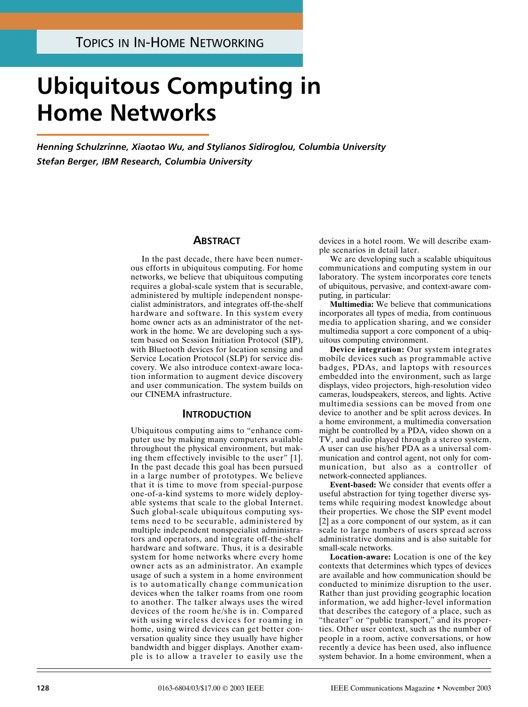# **Ubiquitous Computing in Home Networks**

*Henning Schulzrinne, Xiaotao Wu, and Stylianos Sidiroglou, Columbia University Stefan Berger, IBM Research, Columbia University*

# **ABSTRACT**

In the past decade, there have been numerous efforts in ubiquitous computing. For home networks, we believe that ubiquitous computing requires a global-scale system that is securable, administered by multiple independent nonspecialist administrators, and integrates off-the-shelf hardware and software. In this system every home owner acts as an administrator of the network in the home. We are developing such a system based on Session Initiation Protocol (SIP), with Bluetooth devices for location sensing and Service Location Protocol (SLP) for service discovery. We also introduce context-aware location information to augment device discovery and user communication. The system builds on our CINEMA infrastructure.

#### **INTRODUCTION**

Ubiquitous computing aims to "enhance computer use by making many computers available throughout the physical environment, but making them effectively invisible to the user" [1]. In the past decade this goal has been pursued in a large number of prototypes. We believe that it is time to move from special-purpose one-of-a-kind systems to more widely deployable systems that scale to the global Internet. Such global-scale ubiquitous computing systems need to be securable, administered by multiple independent nonspecialist administrators and operators, and integrate off-the-shelf hardware and software. Thus, it is a desirable system for home networks where every home owner acts as an administrator. An example usage of such a system in a home environment is to automatically change communication devices when the talker roams from one room to another. The talker always uses the wired devices of the room he/she is in. Compared with using wireless devices for roaming in home, using wired devices can get better conversation quality since they usually have higher bandwidth and bigger displays. Another example is to allow a traveler to easily use the devices in a hotel room. We will describe example scenarios in detail later.

We are developing such a scalable ubiquitous communications and computing system in our laboratory. The system incorporates core tenets of ubiquitous, pervasive, and context-aware computing, in particular:

**Multimedia:** We believe that communications incorporates all types of media, from continuous media to application sharing, and we consider multimedia support a core component of a ubiquitous computing environment.

**Device integration:** Our system integrates mobile devices such as programmable active badges, PDAs, and laptops with resources embedded into the environment, such as large displays, video projectors, high-resolution video cameras, loudspeakers, stereos, and lights. Active multimedia sessions can be moved from one device to another and be split across devices. In a home environment, a multimedia conversation might be controlled by a PDA, video shown on a TV, and audio played through a stereo system. A user can use his/her PDA as a universal communication and control agent, not only for communication, but also as a controller of network-connected appliances.

**Event-based:** We consider that events offer a useful abstraction for tying together diverse systems while requiring modest knowledge about their properties. We chose the SIP event model [2] as a core component of our system, as it can scale to large numbers of users spread across administrative domains and is also suitable for small-scale networks.

**Location-aware:** Location is one of the key contexts that determines which types of devices are available and how communication should be conducted to minimize disruption to the user. Rather than just providing geographic location information, we add higher-level information that describes the category of a place, such as "theater" or "public transport," and its properties. Other user context, such as the number of people in a room, active conversations, or how recently a device has been used, also influence system behavior. In a home environment, when a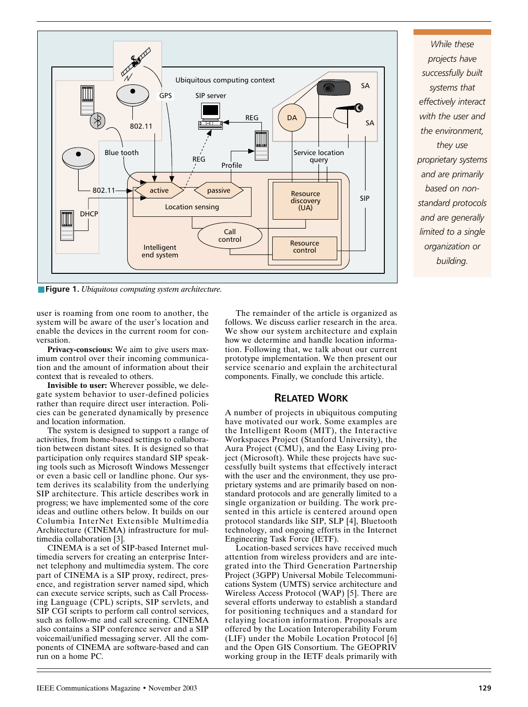

■ **Figure 1.** *Ubiquitous computing system architecture.* 

user is roaming from one room to another, the system will be aware of the user's location and enable the devices in the current room for conversation.

**Privacy-conscious:** We aim to give users maximum control over their incoming communication and the amount of information about their context that is revealed to others.

**Invisible to user:** Wherever possible, we delegate system behavior to user-defined policies rather than require direct user interaction. Policies can be generated dynamically by presence and location information.

The system is designed to support a range of activities, from home-based settings to collaboration between distant sites. It is designed so that participation only requires standard SIP speaking tools such as Microsoft Windows Messenger or even a basic cell or landline phone. Our system derives its scalability from the underlying SIP architecture. This article describes work in progress; we have implemented some of the core ideas and outline others below. It builds on our Columbia InterNet Extensible Multimedia Architecture (CINEMA) infrastructure for multimedia collaboration [3].

CINEMA is a set of SIP-based Internet multimedia servers for creating an enterprise Internet telephony and multimedia system. The core part of CINEMA is a SIP proxy, redirect, presence, and registration server named sipd, which can execute service scripts, such as Call Processing Language (CPL) scripts, SIP servlets, and SIP CGI scripts to perform call control services, such as follow-me and call screening. CINEMA also contains a SIP conference server and a SIP voicemail/unified messaging server. All the components of CINEMA are software-based and can run on a home PC.

The remainder of the article is organized as follows. We discuss earlier research in the area. We show our system architecture and explain how we determine and handle location information. Following that, we talk about our current prototype implementation. We then present our service scenario and explain the architectural components. Finally, we conclude this article.

# **RELATED WORK**

A number of projects in ubiquitous computing have motivated our work. Some examples are the Intelligent Room (MIT), the Interactive Workspaces Project (Stanford University), the Aura Project (CMU), and the Easy Living project (Microsoft). While these projects have successfully built systems that effectively interact with the user and the environment, they use proprietary systems and are primarily based on nonstandard protocols and are generally limited to a single organization or building. The work presented in this article is centered around open protocol standards like SIP, SLP [4], Bluetooth technology, and ongoing efforts in the Internet Engineering Task Force (IETF).

Location-based services have received much attention from wireless providers and are integrated into the Third Generation Partnership Project (3GPP) Universal Mobile Telecommunications System (UMTS) service architecture and Wireless Access Protocol (WAP) [5]. There are several efforts underway to establish a standard for positioning techniques and a standard for relaying location information. Proposals are offered by the Location Interoperability Forum (LIF) under the Mobile Location Protocol [6] and the Open GIS Consortium. The GEOPRIV working group in the IETF deals primarily with

*While these projects have successfully built systems that effectively interact with the user and the environment, they use proprietary systems and are primarily based on nonstandard protocols and are generally limited to a single organization or building.*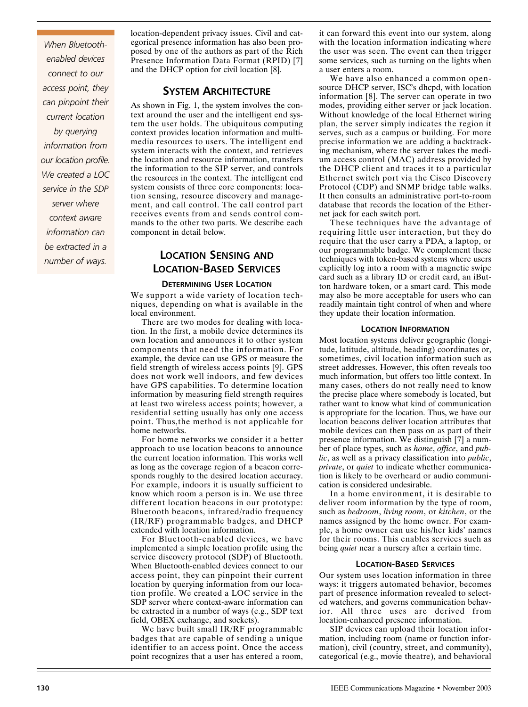*When Bluetoothenabled devices connect to our access point, they can pinpoint their current location by querying information from our location profile. We created a LOC service in the SDP server where context aware information can be extracted in a number of ways.*

location-dependent privacy issues. Civil and categorical presence information has also been proposed by one of the authors as part of the Rich Presence Information Data Format (RPID) [7] and the DHCP option for civil location [8].

# **SYSTEM ARCHITECTURE**

As shown in Fig. 1, the system involves the context around the user and the intelligent end system the user holds. The ubiquitous computing context provides location information and multimedia resources to users. The intelligent end system interacts with the context, and retrieves the location and resource information, transfers the information to the SIP server, and controls the resources in the context. The intelligent end system consists of three core components: location sensing, resource discovery and management, and call control. The call control part receives events from and sends control commands to the other two parts. We describe each component in detail below.

# **LOCATION SENSING AND LOCATION-BASED SERVICES**

#### **DETERMINING USER LOCATION**

We support a wide variety of location techniques, depending on what is available in the local environment.

There are two modes for dealing with location. In the first, a mobile device determines its own location and announces it to other system components that need the information. For example, the device can use GPS or measure the field strength of wireless access points [9]. GPS does not work well indoors, and few devices have GPS capabilities. To determine location information by measuring field strength requires at least two wireless access points; however, a residential setting usually has only one access point. Thus,the method is not applicable for home networks.

For home networks we consider it a better approach to use location beacons to announce the current location information. This works well as long as the coverage region of a beacon corresponds roughly to the desired location accuracy. For example, indoors it is usually sufficient to know which room a person is in. We use three different location beacons in our prototype: Bluetooth beacons, infrared/radio frequency (IR/RF) programmable badges, and DHCP extended with location information.

For Bluetooth-enabled devices, we have implemented a simple location profile using the service discovery protocol (SDP) of Bluetooth. When Bluetooth-enabled devices connect to our access point, they can pinpoint their current location by querying information from our location profile. We created a LOC service in the SDP server where context-aware information can be extracted in a number of ways (e.g., SDP text field, OBEX exchange, and sockets).

We have built small IR/RF programmable badges that are capable of sending a unique identifier to an access point. Once the access point recognizes that a user has entered a room, it can forward this event into our system, along with the location information indicating where the user was seen. The event can then trigger some services, such as turning on the lights when a user enters a room.

We have also enhanced a common opensource DHCP server, ISC's dhcpd, with location information [8]. The server can operate in two modes, providing either server or jack location. Without knowledge of the local Ethernet wiring plan, the server simply indicates the region it serves, such as a campus or building. For more precise information we are adding a backtracking mechanism, where the server takes the medium access control (MAC) address provided by the DHCP client and traces it to a particular Ethernet switch port via the Cisco Discovery Protocol (CDP) and SNMP bridge table walks. It then consults an administrative port-to-room database that records the location of the Ethernet jack for each switch port.

These techniques have the advantage of requiring little user interaction, but they do require that the user carry a PDA, a laptop, or our programmable badge. We complement these techniques with token-based systems where users explicitly log into a room with a magnetic swipe card such as a library ID or credit card, an iButton hardware token, or a smart card. This mode may also be more acceptable for users who can readily maintain tight control of when and where they update their location information.

#### **LOCATION INFORMATION**

Most location systems deliver geographic (longitude, latitude, altitude, heading) coordinates or, sometimes, civil location information such as street addresses. However, this often reveals too much information, but offers too little context. In many cases, others do not really need to know the precise place where somebody is located, but rather want to know what kind of communication is appropriate for the location. Thus, we have our location beacons deliver location attributes that mobile devices can then pass on as part of their presence information. We distinguish [7] a number of place types, such as *home*, *office*, and *public*, as well as a privacy classification into *public*, *private*, or *quiet* to indicate whether communication is likely to be overheard or audio communication is considered undesirable.

In a home environment, it is desirable to deliver room information by the type of room, such as *bedroom*, *living room*, or *kitchen*, or the names assigned by the home owner. For example, a home owner can use his/her kids' names for their rooms. This enables services such as being *quiet* near a nursery after a certain time.

#### **LOCATION-BASED SERVICES**

Our system uses location information in three ways: it triggers automated behavior, becomes part of presence information revealed to selected watchers, and governs communication behavior. All three uses are derived from location-enhanced presence information.

SIP devices can upload their location information, including room (name or function information), civil (country, street, and community), categorical (e.g., movie theatre), and behavioral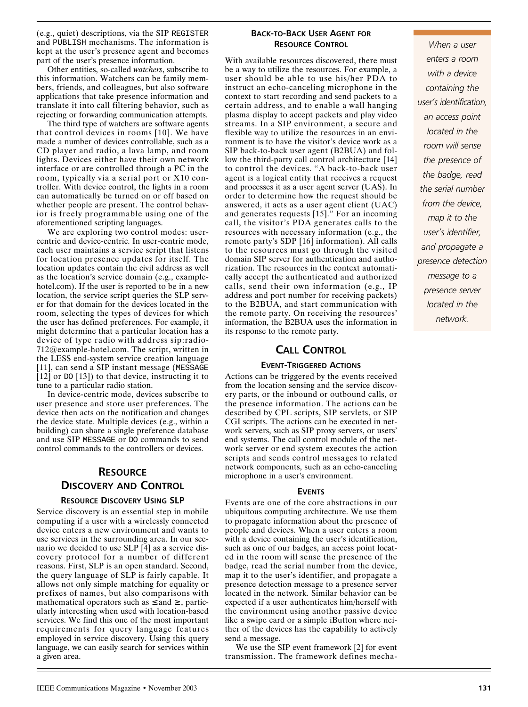(e.g., quiet) descriptions, via the SIP REGISTER and PUBLISH mechanisms. The information is kept at the user's presence agent and becomes part of the user's presence information.

Other entities, so-called *watchers*, subscribe to this information. Watchers can be family members, friends, and colleagues, but also software applications that take presence information and translate it into call filtering behavior, such as rejecting or forwarding communication attempts.

The third type of watchers are software agents that control devices in rooms [10]. We have made a number of devices controllable, such as a CD player and radio, a lava lamp, and room lights. Devices either have their own network interface or are controlled through a PC in the room, typically via a serial port or X10 controller. With device control, the lights in a room can automatically be turned on or off based on whether people are present. The control behavior is freely programmable using one of the aforementioned scripting languages.

We are exploring two control modes: usercentric and device-centric. In user-centric mode, each user maintains a service script that listens for location presence updates for itself. The location updates contain the civil address as well as the location's service domain (e.g., examplehotel.com). If the user is reported to be in a new location, the service script queries the SLP server for that domain for the devices located in the room, selecting the types of devices for which the user has defined preferences. For example, it might determine that a particular location has a device of type radio with address sip:radio-712@example-hotel.com. The script, written in the LESS end-system service creation language [11], can send a SIP instant message (MESSAGE [12] or DO [13]) to that device, instructing it to tune to a particular radio station.

In device-centric mode, devices subscribe to user presence and store user preferences. The device then acts on the notification and changes the device state. Multiple devices (e.g., within a building) can share a single preference database and use SIP MESSAGE or DO commands to send control commands to the controllers or devices.

# **RESOURCE DISCOVERY AND CONTROL**

#### **RESOURCE DISCOVERY USING SLP**

Service discovery is an essential step in mobile computing if a user with a wirelessly connected device enters a new environment and wants to use services in the surrounding area. In our scenario we decided to use SLP [4] as a service discovery protocol for a number of different reasons. First, SLP is an open standard. Second, the query language of SLP is fairly capable. It allows not only simple matching for equality or prefixes of names, but also comparisons with mathematical operators such as  $\le$  and  $\ge$ , particularly interesting when used with location-based services. We find this one of the most important requirements for query language features employed in service discovery. Using this query language, we can easily search for services within a given area.

### **BACK-TO-BACK USER AGENT FOR RESOURCE CONTROL**

With available resources discovered, there must be a way to utilize the resources. For example, a user should be able to use his/her PDA to instruct an echo-canceling microphone in the context to start recording and send packets to a certain address, and to enable a wall hanging plasma display to accept packets and play video streams. In a SIP environment, a secure and flexible way to utilize the resources in an environment is to have the visitor's device work as a SIP back-to-back user agent (B2BUA) and follow the third-party call control architecture [14] to control the devices. "A back-to-back user agent is a logical entity that receives a request and processes it as a user agent server (UAS). In order to determine how the request should be answered, it acts as a user agent client (UAC) and generates requests [15]." For an incoming call, the visitor's PDA generates calls to the resources with necessary information (e.g., the remote party's SDP [16] information). All calls to the resources must go through the visited domain SIP server for authentication and authorization. The resources in the context automatically accept the authenticated and authorized calls, send their own information (e.g., IP address and port number for receiving packets) to the B2BUA, and start communication with the remote party. On receiving the resources' information, the B2BUA uses the information in its response to the remote party.

# **CALL CONTROL**

#### **EVENT-TRIGGERED ACTIONS**

Actions can be triggered by the events received from the location sensing and the service discovery parts, or the inbound or outbound calls, or the presence information. The actions can be described by CPL scripts, SIP servlets, or SIP CGI scripts. The actions can be executed in network servers, such as SIP proxy servers, or users' end systems. The call control module of the network server or end system executes the action scripts and sends control messages to related network components, such as an echo-canceling microphone in a user's environment.

#### **EVENTS**

Events are one of the core abstractions in our ubiquitous computing architecture. We use them to propagate information about the presence of people and devices. When a user enters a room with a device containing the user's identification, such as one of our badges, an access point located in the room will sense the presence of the badge, read the serial number from the device, map it to the user's identifier, and propagate a presence detection message to a presence server located in the network. Similar behavior can be expected if a user authenticates him/herself with the environment using another passive device like a swipe card or a simple iButton where neither of the devices has the capability to actively send a message.

We use the SIP event framework [2] for event transmission. The framework defines mecha-

*enters a room with a device containing the user's identification, an access point located in the room will sense the presence of the badge, read the serial number from the device, map it to the user's identifier, and propagate a presence detection message to a presence server located in the network.*

*When a user*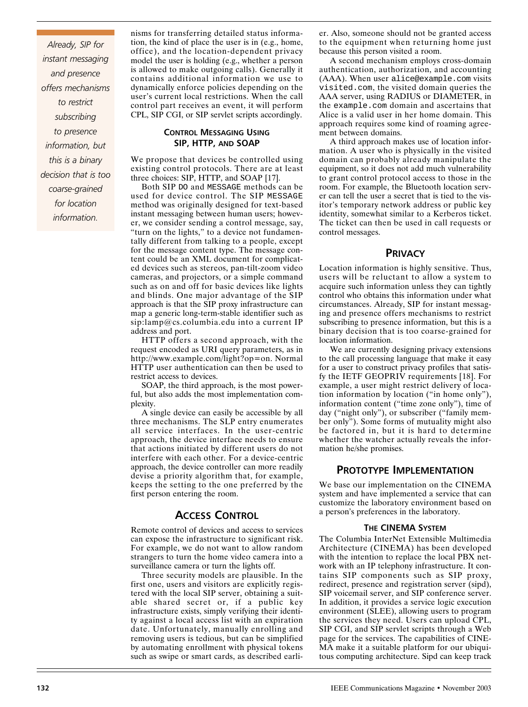*Already, SIP for instant messaging and presence offers mechanisms to restrict subscribing to presence information, but this is a binary decision that is too coarse-grained for location information.*

nisms for transferring detailed status information, the kind of place the user is in (e.g., home, office), and the location-dependent privacy model the user is holding (e.g., whether a person is allowed to make outgoing calls). Generally it contains additional information we use to dynamically enforce policies depending on the user's current local restrictions. When the call control part receives an event, it will perform CPL, SIP CGI, or SIP servlet scripts accordingly.

#### **CONTROL MESSAGING USING SIP, HTTP, AND SOAP**

We propose that devices be controlled using existing control protocols. There are at least three choices: SIP, HTTP, and SOAP [17].

Both SIP DO and MESSAGE methods can be used for device control. The SIP MESSAGE method was originally designed for text-based instant messaging between human users; however, we consider sending a control message, say, "turn on the lights," to a device not fundamentally different from talking to a people, except for the message content type. The message content could be an XML document for complicated devices such as stereos, pan-tilt-zoom video cameras, and projectors, or a simple command such as on and off for basic devices like lights and blinds. One major advantage of the SIP approach is that the SIP proxy infrastructure can map a generic long-term-stable identifier such as sip:lamp@cs.columbia.edu into a current IP address and port.

HTTP offers a second approach, with the request encoded as URI query parameters, as in http://www.example.com/light?op=on. Normal HTTP user authentication can then be used to restrict access to devices.

SOAP, the third approach, is the most powerful, but also adds the most implementation complexity.

A single device can easily be accessible by all three mechanisms. The SLP entry enumerates all service interfaces. In the user-centric approach, the device interface needs to ensure that actions initiated by different users do not interfere with each other. For a device-centric approach, the device controller can more readily devise a priority algorithm that, for example, keeps the setting to the one preferred by the first person entering the room.

# **ACCESS CONTROL**

Remote control of devices and access to services can expose the infrastructure to significant risk. For example, we do not want to allow random strangers to turn the home video camera into a surveillance camera or turn the lights off.

Three security models are plausible. In the first one, users and visitors are explicitly registered with the local SIP server, obtaining a suitable shared secret or, if a public key infrastructure exists, simply verifying their identity against a local access list with an expiration date. Unfortunately, manually enrolling and removing users is tedious, but can be simplified by automating enrollment with physical tokens such as swipe or smart cards, as described earlier. Also, someone should not be granted access to the equipment when returning home just because this person visited a room.

A second mechanism employs cross-domain authentication, authorization, and accounting (AAA). When user alice@example.com visits visited.com, the visited domain queries the AAA server, using RADIUS or DIAMETER, in the example.com domain and ascertains that Alice is a valid user in her home domain. This approach requires some kind of roaming agreement between domains.

A third approach makes use of location information. A user who is physically in the visited domain can probably already manipulate the equipment, so it does not add much vulnerability to grant control protocol access to those in the room. For example, the Bluetooth location server can tell the user a secret that is tied to the visitor's temporary network address or public key identity, somewhat similar to a Kerberos ticket. The ticket can then be used in call requests or control messages.

# **PRIVACY**

Location information is highly sensitive. Thus, users will be reluctant to allow a system to acquire such information unless they can tightly control who obtains this information under what circumstances. Already, SIP for instant messaging and presence offers mechanisms to restrict subscribing to presence information, but this is a binary decision that is too coarse-grained for location information.

We are currently designing privacy extensions to the call processing language that make it easy for a user to construct privacy profiles that satisfy the IETF GEOPRIV requirements [18]. For example, a user might restrict delivery of location information by location ("in home only"), information content ("time zone only"), time of day ("night only"), or subscriber ("family member only"). Some forms of mutuality might also be factored in, but it is hard to determine whether the watcher actually reveals the information he/she promises.

# **PROTOTYPE IMPLEMENTATION**

We base our implementation on the CINEMA system and have implemented a service that can customize the laboratory environment based on a person's preferences in the laboratory.

#### **THE CINEMA SYSTEM**

The Columbia InterNet Extensible Multimedia Architecture (CINEMA) has been developed with the intention to replace the local PBX network with an IP telephony infrastructure. It contains SIP components such as SIP proxy, redirect, presence and registration server (sipd), SIP voicemail server, and SIP conference server. In addition, it provides a service logic execution environment (SLEE), allowing users to program the services they need. Users can upload CPL, SIP CGI, and SIP servlet scripts through a Web page for the services. The capabilities of CINE-MA make it a suitable platform for our ubiquitous computing architecture. Sipd can keep track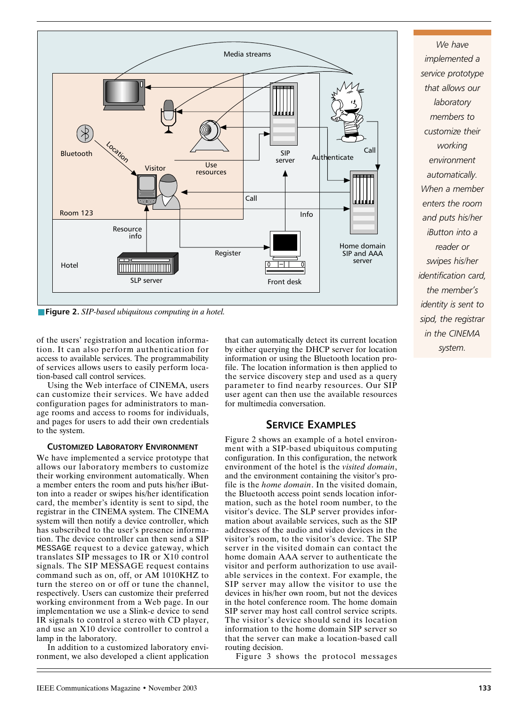

■ **Figure 2.** *SIP-based ubiquitous computing in a hotel.* 

of the users' registration and location information. It can also perform authentication for access to available services. The programmability of services allows users to easily perform location-based call control services.

Using the Web interface of CINEMA, users can customize their services. We have added configuration pages for administrators to manage rooms and access to rooms for individuals, and pages for users to add their own credentials to the system.

#### **CUSTOMIZED LABORATORY ENVIRONMENT**

We have implemented a service prototype that allows our laboratory members to customize their working environment automatically. When a member enters the room and puts his/her iButton into a reader or swipes his/her identification card, the member's identity is sent to sipd, the registrar in the CINEMA system. The CINEMA system will then notify a device controller, which has subscribed to the user's presence information. The device controller can then send a SIP MESSAGE request to a device gateway, which translates SIP messages to IR or X10 control signals. The SIP MESSAGE request contains command such as on, off, or AM 1010KHZ to turn the stereo on or off or tune the channel, respectively. Users can customize their preferred working environment from a Web page. In our implementation we use a Slink-e device to send IR signals to control a stereo with CD player, and use an X10 device controller to control a lamp in the laboratory.

In addition to a customized laboratory environment, we also developed a client application that can automatically detect its current location by either querying the DHCP server for location information or using the Bluetooth location profile. The location information is then applied to the service discovery step and used as a query parameter to find nearby resources. Our SIP user agent can then use the available resources for multimedia conversation.

#### **SERVICE EXAMPLES**

Figure 2 shows an example of a hotel environment with a SIP-based ubiquitous computing configuration. In this configuration, the network environment of the hotel is the *visited domain*, and the environment containing the visitor's profile is the *home domain*. In the visited domain, the Bluetooth access point sends location information, such as the hotel room number, to the visitor's device. The SLP server provides information about available services, such as the SIP addresses of the audio and video devices in the visitor's room, to the visitor's device. The SIP server in the visited domain can contact the home domain AAA server to authenticate the visitor and perform authorization to use available services in the context. For example, the SIP server may allow the visitor to use the devices in his/her own room, but not the devices in the hotel conference room. The home domain SIP server may host call control service scripts. The visitor's device should send its location information to the home domain SIP server so that the server can make a location-based call routing decision.

Figure 3 shows the protocol messages

*We have implemented a service prototype that allows our laboratory members to customize their working environment automatically. When a member enters the room and puts his/her iButton into a reader or swipes his/her identification card, the member's identity is sent to sipd, the registrar in the CINEMA system.*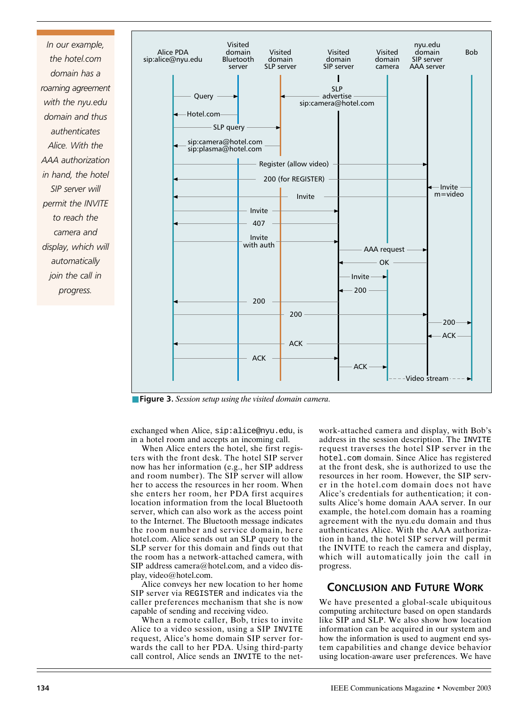*the hotel.com domain has a roaming agreement with the nyu.edu domain and thus authenticates Alice. With the AAA authorization in hand, the hotel SIP server will permit the INVITE to reach the camera and display, which will automatically join the call in progress.*



■ **Figure 3.** *Session setup using the visited domain camera.* 

exchanged when Alice, sip:alice@nyu.edu, is in a hotel room and accepts an incoming call.

When Alice enters the hotel, she first registers with the front desk. The hotel SIP server now has her information (e.g., her SIP address and room number). The SIP server will allow her to access the resources in her room. When she enters her room, her PDA first acquires location information from the local Bluetooth server, which can also work as the access point to the Internet. The Bluetooth message indicates the room number and service domain, here hotel.com. Alice sends out an SLP query to the SLP server for this domain and finds out that the room has a network-attached camera, with SIP address camera@hotel.com, and a video display, video@hotel.com.

Alice conveys her new location to her home SIP server via REGISTER and indicates via the caller preferences mechanism that she is now capable of sending and receiving video.

When a remote caller, Bob, tries to invite Alice to a video session, using a SIP INVITE request, Alice's home domain SIP server forwards the call to her PDA. Using third-party call control, Alice sends an INVITE to the network-attached camera and display, with Bob's address in the session description. The INVITE request traverses the hotel SIP server in the hotel.com domain. Since Alice has registered at the front desk, she is authorized to use the resources in her room. However, the SIP server in the hotel.com domain does not have Alice's credentials for authentication; it consults Alice's home domain AAA server. In our example, the hotel.com domain has a roaming agreement with the nyu.edu domain and thus authenticates Alice. With the AAA authorization in hand, the hotel SIP server will permit the INVITE to reach the camera and display, which will automatically join the call in progress.

# **CONCLUSION AND FUTURE WORK**

We have presented a global-scale ubiquitous computing architecture based on open standards like SIP and SLP. We also show how location information can be acquired in our system and how the information is used to augment end system capabilities and change device behavior using location-aware user preferences. We have